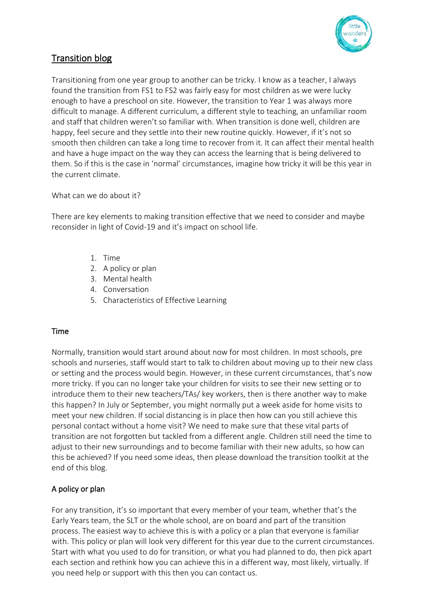

# Transition blog

Transitioning from one year group to another can be tricky. I know as a teacher, I always found the transition from FS1 to FS2 was fairly easy for most children as we were lucky enough to have a preschool on site. However, the transition to Year 1 was always more difficult to manage. A different curriculum, a different style to teaching, an unfamiliar room and staff that children weren't so familiar with. When transition is done well, children are happy, feel secure and they settle into their new routine quickly. However, if it's not so smooth then children can take a long time to recover from it. It can affect their mental health and have a huge impact on the way they can access the learning that is being delivered to them. So if this is the case in 'normal' circumstances, imagine how tricky it will be this year in the current climate.

What can we do about it?

There are key elements to making transition effective that we need to consider and maybe reconsider in light of Covid-19 and it's impact on school life.

- 1. Time
- 2. A policy or plan
- 3. Mental health
- 4. Conversation
- 5. Characteristics of Effective Learning

## Time

Normally, transition would start around about now for most children. In most schools, pre schools and nurseries, staff would start to talk to children about moving up to their new class or setting and the process would begin. However, in these current circumstances, that's now more tricky. If you can no longer take your children for visits to see their new setting or to introduce them to their new teachers/TAs/ key workers, then is there another way to make this happen? In July or September, you might normally put a week aside for home visits to meet your new children. If social distancing is in place then how can you still achieve this personal contact without a home visit? We need to make sure that these vital parts of transition are not forgotten but tackled from a different angle. Children still need the time to adjust to their new surroundings and to become familiar with their new adults, so how can this be achieved? If you need some ideas, then please download the transition toolkit at the end of this blog.

## A policy or plan

For any transition, it's so important that every member of your team, whether that's the Early Years team, the SLT or the whole school, are on board and part of the transition process. The easiest way to achieve this is with a policy or a plan that everyone is familiar with. This policy or plan will look very different for this year due to the current circumstances. Start with what you used to do for transition, or what you had planned to do, then pick apart each section and rethink how you can achieve this in a different way, most likely, virtually. If you need help or support with this then you can contact us.